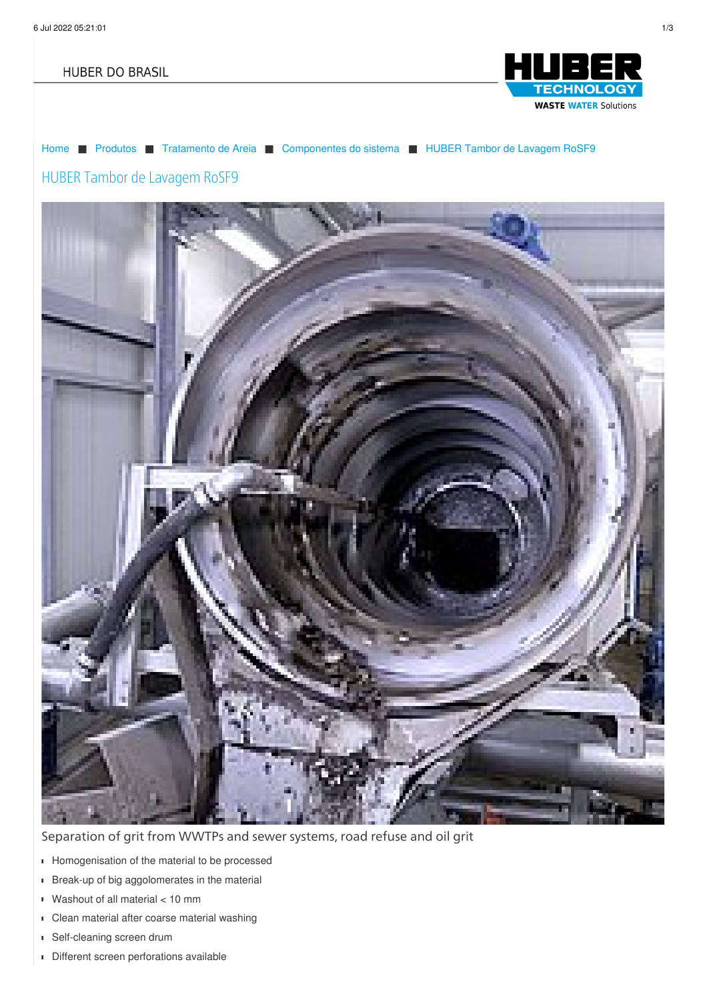#### **HUBER DO BRASIL**



[Home](/br.html) ■ [Produtos](/br/produtos.html) ■ [Tratamento](/br/produtos/tratamento-de-areia.html) de Areia ■ [Componentes](/br/produtos/tratamento-de-areia/componentes-do-sistema.html) do sistema ■ HUBER Tambor de [Lavagem](/br/produtos/tratamento-de-areia/componentes-do-sistema/huber-tambor-de-lavagem-rosf9.html) RoSF9

# HUBER Tambor de Lavagem RoSF9



Separation of grit from WWTPs and sewer systems, road refuse and oil grit

- Homogenisation of the material to be processed
- **Break-up of big aggolomerates in the material**
- Washout of all material < 10 mm
- Clean material after coarse material washing
- Self-cleaning screen drum
- Different screen perforations available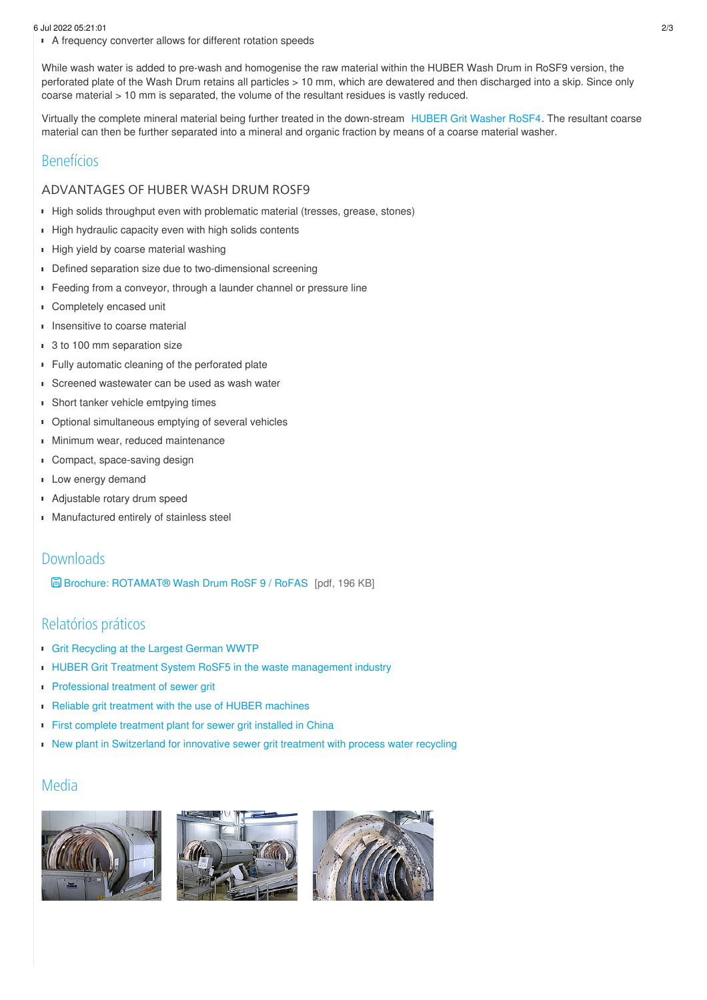#### 6 Jul 2022 05:21:01 2/3

A frequency converter allows for different rotation speeds

While wash water is added to pre-wash and homogenise the raw material within the HUBER Wash Drum in RoSF9 version, the perforated plate of the Wash Drum retains all particles > 10 mm, which are dewatered and then discharged into a skip. Since only coarse material > 10 mm is separated, the volume of the resultant residues is vastly reduced.

Virtually the complete mineral material being further treated in the down-stream [HUBER](/br/produtos/tratamento-de-areia/estacoes-de-lavagem-de-areia/huber-coanda-estacao-de-lavagem-de-areia-rosf4.html) Grit Washer RoSF4. The resultant coarse material can then be further separated into a mineral and organic fraction by means of a coarse material washer.

#### Benefícios

#### ADVANTAGES OF HUBER WASH DRUM ROSF9

- High solids throughput even with problematic material (tresses, grease, stones)
- High hydraulic capacity even with high solids contents
- High yield by coarse material washing
- Defined separation size due to two-dimensional screening
- Feeding from a conveyor, through a launder channel or pressure line
- Completely encased unit f,
- **Insensitive to coarse material**
- 3 to 100 mm separation size
- **Fully automatic cleaning of the perforated plate**
- **Screened wastewater can be used as wash water**
- **Short tanker vehicle emtpying times**
- **Dependicies** Optional simultaneous emptying of several vehicles
- Minimum wear, reduced maintenance  $\blacksquare$
- **Compact, space-saving design**
- Low energy demand
- Adjustable rotary drum speed
- Manufactured entirely of stainless steel

#### Downloads

Brochure: [ROTAMAT®](/fileadmin/01_products/03_grit/06_einzelaggregate/01_rosf9/pro_rosf9_fas_en.pdf) Wash Drum RoSF 9 / RoFAS [pdf, 196 KB]

## Relatórios práticos

- **Grit [Recycling](/br/huber-report/ablage-berichte/grit-separation-and-treatment/grit-recycling-at-the-largest-german-wwtp.html) at the Largest German WWTP**
- HUBER Grit Treatment System RoSF5 in the waste [management](/br/huber-report/ablage-berichte/industry/huber-grit-treatment-system-rosf5-in-the-waste-management-industry.html) industry
- **[Professional](/br/huber-report/ablage-berichte/grit-separation-and-treatment/professional-treatment-of-sewer-grit.html) treatment of sewer grit**
- Reliable grit treatment with the use of HUBER [machines](/br/huber-report/ablage-berichte/grit-separation-and-treatment/reliable-grit-treatment-with-the-use-of-huber-machines.html)
- First complete [treatment](/br/huber-report/ablage-berichte/newsletter-ext/huber-rosf5-process-at-on-stp-qinghe-beijing.html) plant for sewer grit installed in China
- New plant in [Switzerland](/br/huber-report/ablage-berichte/industry/new-plant-in-switzerland-for-innovative-sewer-grit-treatment-with-process-water-recycling.html) for innovative sewer grit treatment with process water recycling

#### Media